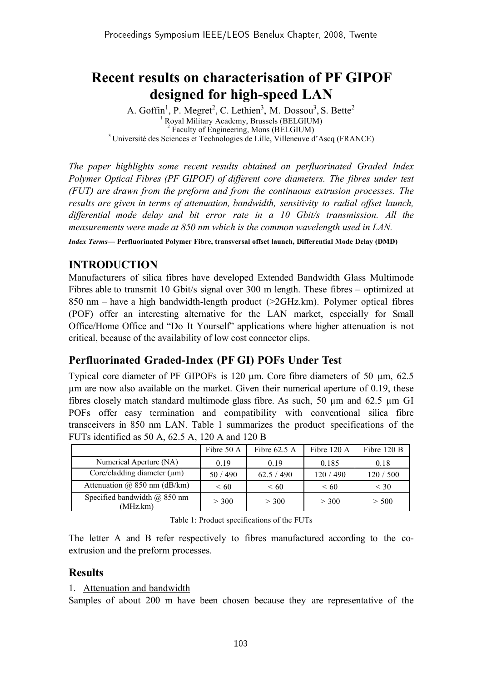# Recent results on characterisation of PF GIPOF designed for high-speed LAN

A. Goffin<sup>1</sup>, P. Megret<sup>2</sup>, C. Lethien<sup>3</sup>, M. Dossou<sup>3</sup>, S. Bette<sup>2</sup> <sup>1</sup> Royal Military Academy, Brussels (BELGIUM)<br><sup>2</sup> Faculty of Engineering, Mons (BELGIUM)<br><sup>3</sup> Université des Sciences et Technologies de Lille, Villeneuve d'Ascq (FRANCE)

*The paper highlights some recent results obtained on perfluorinated Graded Index Polymer Optical Fibres (PF GIPOF) of different core diameters. The fibres under test (FUT) are drawn from the preform and from the continuous extrusion processes. The results are given in terms of attenuation, bandwidth, sensitivity to radial offset launch, differential mode delay and bit error rate in a 10 Gbit/s transmission. All the measurements were made at 850 nm which is the common wavelength used in LAN.*

*Index Terms*— Perfluorinated Polymer Fibre, transversal offset launch, Differential Mode Delay (DMD)

# INTRODUCTION

Manufacturers of silica fibres have developed Extended Bandwidth Glass Multimode Fibres able to transmit 10 Gbit/s signal over 300 m length. These fibres – optimized at 850 nm – have a high bandwidth-length product (>2GHz.km). Polymer optical fibres (POF) offer an interesting alternative for the LAN market, especially for Small Office/Home Office and "Do It Yourself" applications where higher attenuation is not critical, because of the availability of low cost connector clips.

# Perfluorinated Graded-Index (PF GI) POFs Under Test

Typical core diameter of PF GIPOFs is 120 µm. Core fibre diameters of 50 µm, 62.5 µm are now also available on the market. Given their numerical aperture of 0.19, these fibres closely match standard multimode glass fibre. As such, 50  $\mu$ m and 62.5  $\mu$ m GI POFs offer easy termination and compatibility with conventional silica fibre transceivers in 850 nm LAN. Table 1 summarizes the product specifications of the FUTs identified as 50 A, 62.5 A, 120 A and 120 B

|                                              | Fibre 50 A | Fibre $62.5$ A | Fibre $120 \text{ A}$ | Fibre 120 B |
|----------------------------------------------|------------|----------------|-----------------------|-------------|
| Numerical Aperture (NA)                      | 0.19       | 0.19           | 0.185                 | 0.18        |
| Core/cladding diameter $(\mu m)$             | 50 / 490   | 62.5 / 490     | 120 / 490             | 120 / 500   |
| Attenuation $\omega$ 850 nm (dB/km)          | $\leq 60$  | $\leq 60$      | $\leq 60$             | $<$ 30      |
| Specified bandwidth $(a)$ 850 nm<br>(MHz.km) | > 300      | > 300          | > 300                 | > 500       |

Table 1: Product specifications of the FUTs

The letter A and B refer respectively to fibres manufactured according to the coextrusion and the preform processes.

# **Results**

#### 1. Attenuation and bandwidth

Samples of about 200 m have been chosen because they are representative of the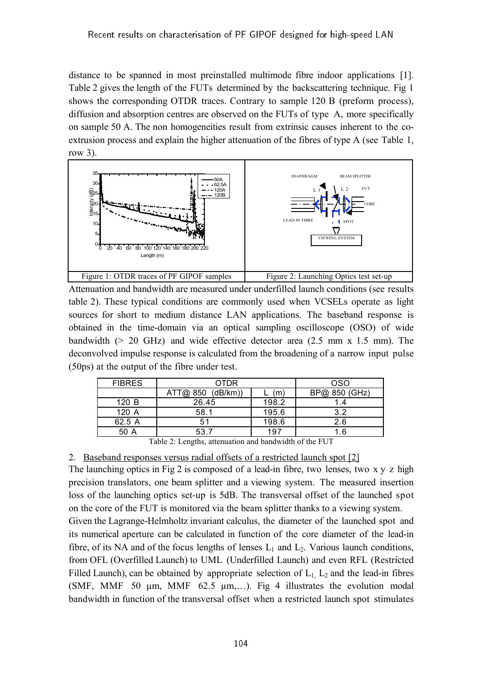distance to be spanned in most preinstalled multimode fibre indoor applications [1]. Table 2 gives the length of the FUTs determined by the backscattering technique. Fig 1 shows the corresponding OTDR traces. Contrary to sample 120 B (preform process), diffusion and absorption centres are observed on the FUTs of type A, more specifically on sample 50 A. The non homogeneities result from extrinsic causes inherent to the coextrusion process and explain the higher attenuation of the fibres of type A (see Table 1, row 3).



Attenuation and bandwidth are measured under underfilled launch conditions (see results table 2). These typical conditions are commonly used when VCSELs operate as light sources for short to medium distance LAN applications. The baseband response is obtained in the time-domain via an optical sampling oscilloscope (OSO) of wide bandwidth ( $> 20$  GHz) and wide effective detector area (2.5 mm x 1.5 mm). The deconvolved impulse response is calculated from the broadening of a narrow input pulse (50ps) at the output of the fibre under test.

| <b>FIBRES</b> | <b>OTDR</b>       |       | <b>OSO</b>    |
|---------------|-------------------|-------|---------------|
|               | ATT@ 850 (dB/km)) | m)    | BP@ 850 (GHz) |
| 120 B         | 26.45             | 198.2 |               |
| 120 A         | 58.1              | 195.6 | 3.2           |
| 62.5 A        | 51                | 198.6 | 2.6           |
| 50 A          | 53.7              | 197   | -6            |

Table 2: Lengths, attenuation and bandwidth of the FUT

2. Baseband responses versus radial offsets of a restricted launch spot [2]

The launching optics in Fig 2 is composed of a lead-in fibre, two lenses, two x y z high precision translators, one beam splitter and a viewing system. The measured insertion loss of the launching optics set-up is 5dB. The transversal offset of the launched spot on the core of the FUT is monitored via the beam splitter thanks to a viewing system.

Given the Lagrange-Helmholtz invariant calculus, the diameter of the launched spot and its numerical aperture can be calculated in function of the core diameter of the lead-in fibre, of its NA and of the focus lengths of lenses  $L_1$  and  $L_2$ . Various launch conditions, from OFL (Overfilled Launch) to UML (Underfilled Launch) and even RFL (Restricted Filled Launch), can be obtained by appropriate selection of  $L_1$ ,  $L_2$  and the lead-in fibres (SMF, MMF 50  $\mu$ m, MMF 62.5  $\mu$ m,...). Fig 4 illustrates the evolution modal bandwidth in function of the transversal offset when a restricted launch spot stimulates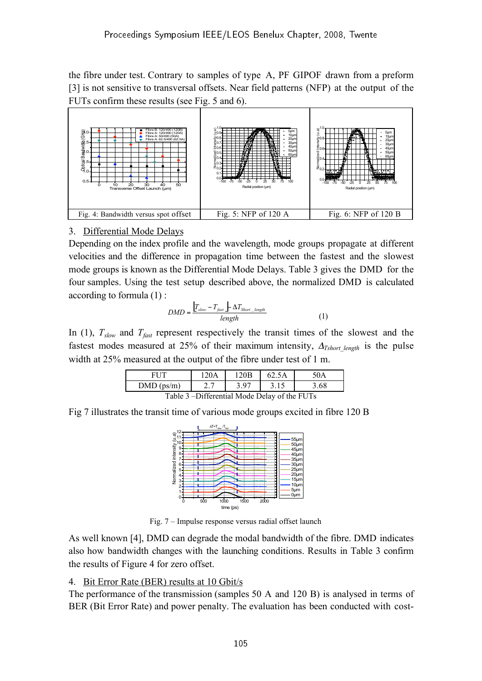the fibre under test. Contrary to samples of type A, PF GIPOF drawn from a preform [3] is not sensitive to transversal offsets. Near field patterns (NFP) at the output of the FUTs confirm these results (see Fig. 5 and 6).



# 3. Differential Mode Delays

Depending on the index profile and the wavelength, mode groups propagate at different velocities and the difference in propagation time between the fastest and the slowest mode groups is known as the Differential Mode Delays. Table 3 gives the DMD for the four samples. Using the test setup described above, the normalized DMD is calculated according to formula (1) :

$$
DMD = \frac{\left|T_{slow} - T_{fast}\right| \Delta T_{Short\_length}}{length} \tag{1}
$$

In (1),  $T_{slow}$  and  $T_{fast}$  represent respectively the transit times of the slowest and the fastest modes measured at 25% of their maximum intensity,  $\Delta_{Tshort length}$  is the pulse width at 25% measured at the output of the fibre under test of 1 m.

| FI IT                                         | 120A | 120 <sub>B</sub> | 62.5A | 50A  |  |  |
|-----------------------------------------------|------|------------------|-------|------|--|--|
| DMD (ps/m)                                    |      | 3.97             |       | 3.68 |  |  |
| Table 3 – Differential Mode Delay of the FUTs |      |                  |       |      |  |  |

Fig 7 illustrates the transit time of various mode groups excited in fibre 120 B



Fig. 7 – Impulse response versus radial offset launch

As well known [4], DMD can degrade the modal bandwidth of the fibre. DMD indicates also how bandwidth changes with the launching conditions. Results in Table 3 confirm the results of Figure 4 for zero offset.

# 4. Bit Error Rate (BER) results at 10 Gbit/s

The performance of the transmission (samples 50 A and 120 B) is analysed in terms of BER (Bit Error Rate) and power penalty. The evaluation has been conducted with cost